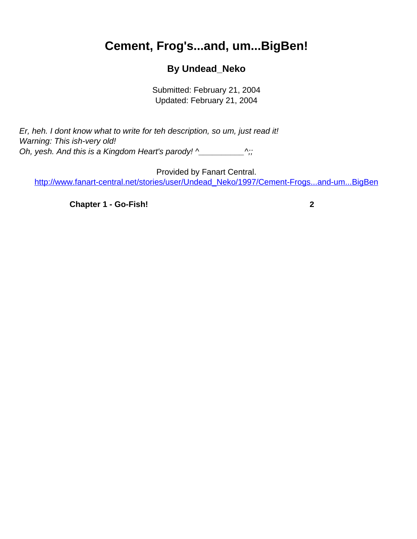## <span id="page-0-0"></span>**Cement, Frog's...and, um...BigBen!**

## **By Undead\_Neko**

Submitted: February 21, 2004 Updated: February 21, 2004

Er, heh. I dont know what to write for teh description, so um, just read it! Warning: This ish-very old! Oh, yesh. And this is a Kingdom Heart's parody! ^\_\_\_\_\_\_\_\_\_\_^;;

Provided by Fanart Central. [http://www.fanart-central.net/stories/user/Undead\\_Neko/1997/Cement-Frogs...and-um...BigBen](#page-0-0)

**[Chapter 1 - Go-Fish!](#page-1-0) [2](#page-1-0)**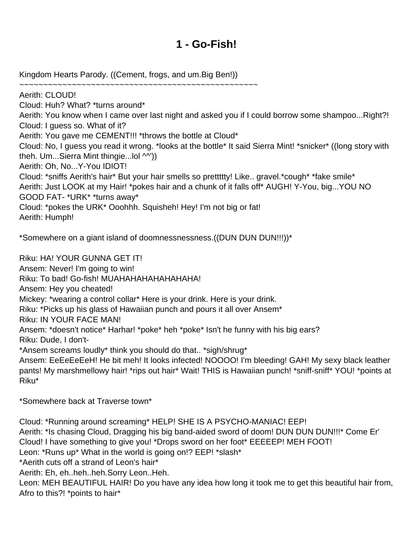## **1 - Go-Fish!**

<span id="page-1-0"></span>Kingdom Hearts Parody. ((Cement, frogs, and um.Big Ben!))

~~~~~~~~~~~~~~~~~~~~~~~~~~~~~~~~~~~~~~~~~~~~~~~~~~ Aerith: CLOUD! Cloud: Huh? What? \*turns around\* Aerith: You know when I came over last night and asked you if I could borrow some shampoo...Right?! Cloud: I guess so. What of it? Aerith: You gave me CEMENT!!! \*throws the bottle at Cloud\* Cloud: No, I guess you read it wrong. \*looks at the bottle\* It said Sierra Mint! \*snicker\* ((long story with theh. Um...Sierra Mint thingie...Iol  $\wedge$ ')) Aerith: Oh, No...Y-You IDIOT! Cloud: \*sniffs Aerith's hair\* But your hair smells so prettttty! Like.. gravel.\*cough\* \*fake smile\* Aerith: Just LOOK at my Hair! \*pokes hair and a chunk of it falls off\* AUGH! Y-You, big...YOU NO GOOD FAT- \*URK\* \*turns away\* Cloud: \*pokes the URK\* Ooohhh. Squisheh! Hey! I'm not big or fat! Aerith: Humph!

\*Somewhere on a giant island of doomnessnessness.((DUN DUN DUN!!!))\*

Riku: HA! YOUR GUNNA GET IT! Ansem: Never! I'm going to win! Riku: To bad! Go-fish! MUAHAHAHAHAHAHAHA! Ansem: Hey you cheated! Mickey: \*wearing a control collar\* Here is your drink. Here is your drink. Riku: \*Picks up his glass of Hawaiian punch and pours it all over Ansem\* Riku: IN YOUR FACE MAN! Ansem: \*doesn't notice\* Harhar! \*poke\* heh \*poke\* Isn't he funny with his big ears? Riku: Dude, I don't- \*Ansem screams loudly\* think you should do that.. \*sigh/shrug\* Ansem: EeEeEeEeH! He bit meh! It looks infected! NOOOO! I'm bleeding! GAH! My sexy black leather pants! My marshmellowy hair! \*rips out hair\* Wait! THIS is Hawaiian punch! \*sniff-sniff\* YOU! \*points at Riku\*

\*Somewhere back at Traverse town\*

Cloud: \*Running around screaming\* HELP! SHE IS A PSYCHO-MANIAC! EEP! Aerith: \*Is chasing Cloud, Dragging his big band-aided sword of doom! DUN DUN DUN!!!\* Come Er' Cloud! I have something to give you! \*Drops sword on her foot\* EEEEEP! MEH FOOT! Leon: \*Runs up\* What in the world is going on!? EEP! \*slash\* \*Aerith cuts off a strand of Leon's hair\* Aerith: Eh, eh..heh..heh.Sorry Leon..Heh. Leon: MEH BEAUTIFUL HAIR! Do you have any idea how long it took me to get this beautiful hair from, Afro to this?! \*points to hair\*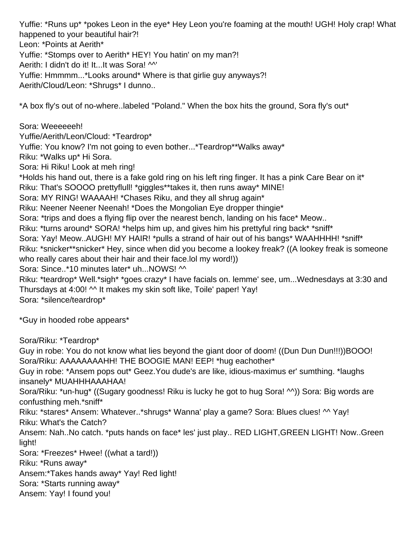Yuffie: \*Runs up\* \*pokes Leon in the eye\* Hey Leon you're foaming at the mouth! UGH! Holy crap! What happened to your beautiful hair?! Leon: \*Points at Aerith\* Yuffie: \*Stomps over to Aerith\* HEY! You hatin' on my man?! Aerith: I didn't do it! It...It was Sora! ^^' Yuffie: Hmmmm...\*Looks around\* Where is that girlie guy anyways?! Aerith/Cloud/Leon: \*Shrugs\* I dunno.. \*A box fly's out of no-where..labeled "Poland." When the box hits the ground, Sora fly's out\* Sora: Weeeeeeh! Yuffie/Aerith/Leon/Cloud: \*Teardrop\* Yuffie: You know? I'm not going to even bother...\*Teardrop\*\*Walks away\* Riku: \*Walks up\* Hi Sora. Sora: Hi Riku! Look at meh ring! \*Holds his hand out, there is a fake gold ring on his left ring finger. It has a pink Care Bear on it\* Riku: That's SOOOO prettyflull! \*giggles\*\*takes it, then runs away\* MINE! Sora: MY RING! WAAAAH! \*Chases Riku, and they all shrug again\* Riku: Neener Neener Neenah! \*Does the Mongolian Eye dropper thingie\* Sora: \*trips and does a flying flip over the nearest bench, landing on his face\* Meow.. Riku: \*turns around\* SORA! \*helps him up, and gives him his prettyful ring back\* \*sniff\* Sora: Yay! Meow..AUGH! MY HAIR! \*pulls a strand of hair out of his bangs\* WAAHHHH! \*sniff\* Riku: \*snicker\*\*snicker\* Hey, since when did you become a lookey freak? ((A lookey freak is someone who really cares about their hair and their face.lol my word!)) Sora: Since..\*10 minutes later\* uh...NOWS! ^^ Riku: \*teardrop\* Well.\*sigh\* \*goes crazy\* I have facials on. lemme' see, um...Wednesdays at 3:30 and Thursdays at 4:00! ^^ It makes my skin soft like, Toile' paper! Yay! Sora: \*silence/teardrop\* \*Guy in hooded robe appears\* Sora/Riku: \*Teardrop\* Guy in robe: You do not know what lies beyond the giant door of doom! ((Dun Dun Dun!!!))BOOO! Sora/Riku: AAAAAAAAHH! THE BOOGIE MAN! EEP! \*hug eachother\* Guy in robe: \*Ansem pops out\* Geez.You dude's are like, idious-maximus er' sumthing. \*laughs insanely\* MUAHHHAAAHAA! Sora/Riku: \*un-hug\* ((Sugary goodness! Riku is lucky he got to hug Sora! ^^)) Sora: Big words are confusthing meh.\*sniff\* Riku: \*stares\* Ansem: Whatever..\*shrugs\* Wanna' play a game? Sora: Blues clues! ^^ Yay! Riku: What's the Catch? Ansem: Nah..No catch. \*puts hands on face\* les' just play.. RED LIGHT,GREEN LIGHT! Now..Green

light!

Sora: \*Freezes\* Hwee! ((what a tard!))

Riku: \*Runs away\*

Ansem:\*Takes hands away\* Yay! Red light!

Sora: \*Starts running away\*

Ansem: Yay! I found you!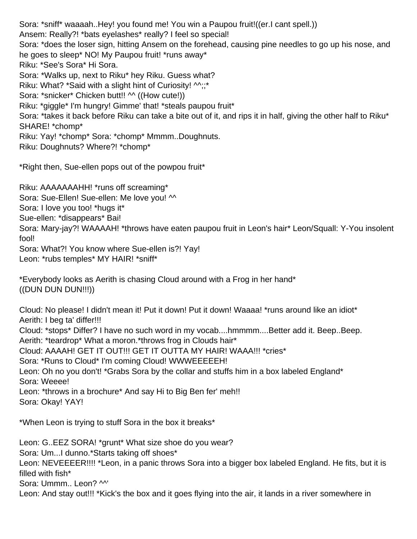Sora: \*sniff\* waaaah..Hey! you found me! You win a Paupou fruit!((er.I cant spell.)) Ansem: Really?! \*bats eyelashes\* really? I feel so special! Sora: \*does the loser sign, hitting Ansem on the forehead, causing pine needles to go up his nose, and he goes to sleep\* NO! My Paupou fruit! \*runs away\* Riku: \*See's Sora\* Hi Sora. Sora: \*Walks up, next to Riku\* hey Riku. Guess what? Riku: What? \*Said with a slight hint of Curiosity!  $\mathcal{M}$ ;;\* Sora: \*snicker\* Chicken butt!! ^^ ((How cute!)) Riku: \*giggle\* I'm hungry! Gimme' that! \*steals paupou fruit\* Sora: \*takes it back before Riku can take a bite out of it, and rips it in half, giving the other half to Riku\* SHARE! \*chomp\* Riku: Yay! \*chomp\* Sora: \*chomp\* Mmmm..Doughnuts. Riku: Doughnuts? Where?! \*chomp\*

\*Right then, Sue-ellen pops out of the powpou fruit\*

Riku: AAAAAAAHH! \*runs off screaming\* Sora: Sue-Ellen! Sue-ellen: Me love you! ^^ Sora: I love you too! \*hugs it\* Sue-ellen: \*disappears\* Bai! Sora: Mary-jay?! WAAAAH! \*throws have eaten paupou fruit in Leon's hair\* Leon/Squall: Y-You insolent fool! Sora: What?! You know where Sue-ellen is?! Yay! Leon: \*rubs temples\* MY HAIR! \*sniff\*

\*Everybody looks as Aerith is chasing Cloud around with a Frog in her hand\* ((DUN DUN DUN!!!))

Cloud: No please! I didn't mean it! Put it down! Put it down! Waaaa! \*runs around like an idiot\* Aerith: I beg ta' differ!!! Cloud: \*stops\* Differ? I have no such word in my vocab....hmmmm....Better add it. Beep..Beep. Aerith: \*teardrop\* What a moron.\*throws frog in Clouds hair\* Cloud: AAAAH! GET IT OUT!!! GET IT OUTTA MY HAIR! WAAA!!! \*cries\* Sora: \*Runs to Cloud\* I'm coming Cloud! WWWEEEEEH! Leon: Oh no you don't! \*Grabs Sora by the collar and stuffs him in a box labeled England\* Sora: Weeee! Leon: \*throws in a brochure\* And say Hi to Big Ben fer' meh!! Sora: Okay! YAY!

\*When Leon is trying to stuff Sora in the box it breaks\*

Leon: G..EEZ SORA! \*grunt\* What size shoe do you wear? Sora: Um...I dunno.\*Starts taking off shoes\* Leon: NEVEEEER!!!! \*Leon, in a panic throws Sora into a bigger box labeled England. He fits, but it is filled with fish\* Sora: Ummm.. Leon? ^^' Leon: And stay out!!! \*Kick's the box and it goes flying into the air, it lands in a river somewhere in